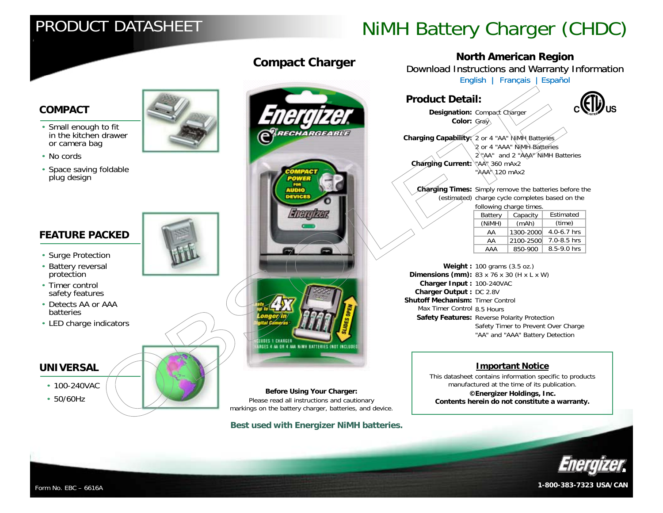# PRODUCT DATASHEET

# NiMH Battery Charger (CHDC)

## **COMPACT**

- Small enough to fit in the kitchen drawer or camera bag
- No cords
- Space saving foldable plug design

## **FEATURE PACKED**

- Surge Protection
- Battery reversal protection
- Timer control safety features
- Detects AA or AAAbatteries
- LED charge indicators

#### **UNIVERSAL**

- 100-240VAC
- $\cdot$  50/60Hz







Please read all instructions and cautionary markings on the battery charger, batteries, and device. **Before Using Your Charger:**

**Best used with Energizer NiMH batteries.**

**Compact Charger North American Region**<br>Download Instructions and Warranty Information [English](http://data.energizer.com/PDFs/chdc_instructions_english.pdf) | [Français](http://data.energizer.com/PDFs/chdc_instructions_french.pdf) | [Español](http://data.energizer.com/PDFs/chdc_instructions_spanish.pdf)

#### **Product Detail:**

**Designation:** Compact Charger **Color:** Gray



**Charging Capability** $\leq$  2 or 4 "AA" NiMH Batteries 2 or 4 "AAA" NiMH Batteries2 "AA" and 2 "AAA" NiMH Batteries**Charging Current:** "AA" 360 mAx2 "AAA<sup>N</sup> 120 mAx2

**Charging Times:** Simply remove the batteries before the (estimated) charge cycle completes based on the following charge times.

| .       |           |             |
|---------|-----------|-------------|
| Battery | Capacity  | Estimated   |
| (NiMH)  | (mAh)     | (time)      |
| AA      | 1300-2000 | 4.0-6.7 hrs |
| AA      | 2100-2500 | 7.0-8.5 hrs |
| AAA     | 850-900   | 8.5-9.0 hrs |

**Weight :** 100 grams (3.5 oz.)  **Dimensions (mm):** 83 x 76 x 30 (H x L x W) **Charger Input :** 100-240VAC**Charger Output :** DC 2.8V **Shutoff Mechanism:** Timer Control Max Timer Control 8.5 Hours **Features:** Reverse Polarity Protection **Contract in the Contract of Telecom Safety Features:** Reverse Polarity Protection Safety Timer to Prevent Over Charge "AA" and "AAA" Battery Detection

#### **Important Notice**

This datasheet contains information specific to products manufactured at the time of its publication. **©Energizer Holdings, Inc. Contents herein do not constitute a warranty.**